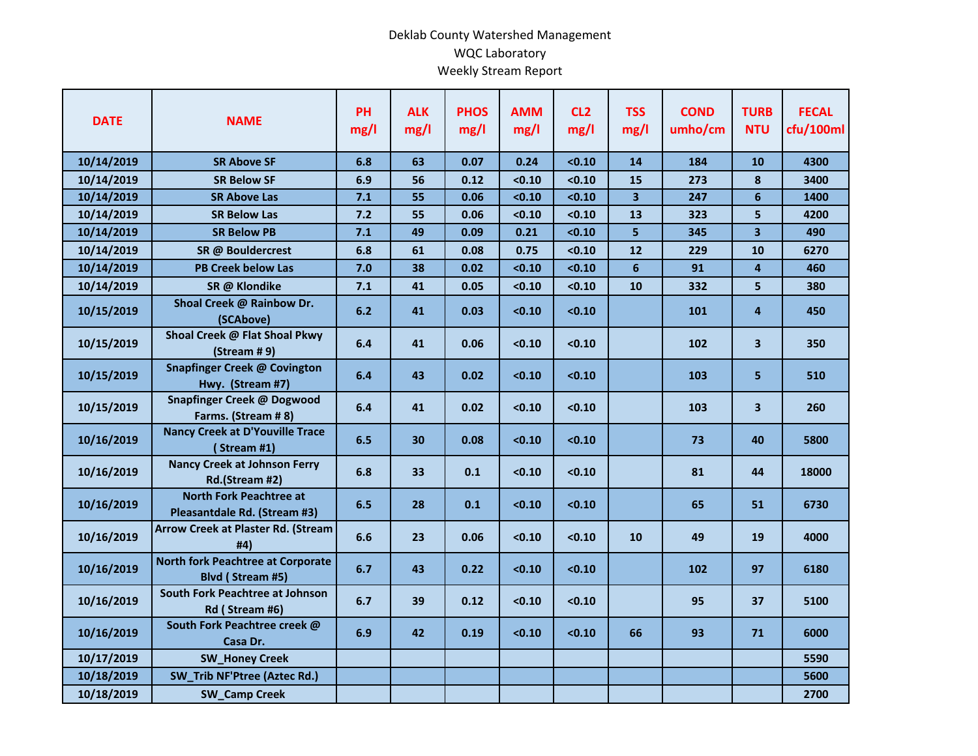## Deklab County Watershed Management WQC Laboratory Weekly Stream Report

| <b>DATE</b> | <b>NAME</b>                                                    | PH<br>mg/l | <b>ALK</b><br>mg/l | <b>PHOS</b><br>mg/l | <b>AMM</b><br>mg/l | CL <sub>2</sub><br>mg/l | <b>TSS</b><br>mg/l | <b>COND</b><br>umho/cm | <b>TURB</b><br><b>NTU</b> | <b>FECAL</b><br>cfu/100ml |
|-------------|----------------------------------------------------------------|------------|--------------------|---------------------|--------------------|-------------------------|--------------------|------------------------|---------------------------|---------------------------|
| 10/14/2019  | <b>SR Above SF</b>                                             | 6.8        | 63                 | 0.07                | 0.24               | < 0.10                  | 14                 | 184                    | 10                        | 4300                      |
| 10/14/2019  | <b>SR Below SF</b>                                             | 6.9        | 56                 | 0.12                | < 0.10             | < 0.10                  | 15                 | 273                    | 8                         | 3400                      |
| 10/14/2019  | <b>SR Above Las</b>                                            | 7.1        | 55                 | 0.06                | < 0.10             | < 0.10                  | 3                  | 247                    | 6                         | 1400                      |
| 10/14/2019  | <b>SR Below Las</b>                                            | 7.2        | 55                 | 0.06                | < 0.10             | < 0.10                  | 13                 | 323                    | 5                         | 4200                      |
| 10/14/2019  | <b>SR Below PB</b>                                             | 7.1        | 49                 | 0.09                | 0.21               | < 0.10                  | 5                  | 345                    | 3 <sup>1</sup>            | 490                       |
| 10/14/2019  | SR @ Bouldercrest                                              | 6.8        | 61                 | 0.08                | 0.75               | < 0.10                  | 12                 | 229                    | 10                        | 6270                      |
| 10/14/2019  | <b>PB Creek below Las</b>                                      | 7.0        | 38                 | 0.02                | < 0.10             | < 0.10                  | $6\phantom{1}$     | 91                     | $\overline{\mathbf{4}}$   | 460                       |
| 10/14/2019  | SR @ Klondike                                                  | 7.1        | 41                 | 0.05                | < 0.10             | < 0.10                  | 10                 | 332                    | 5                         | 380                       |
| 10/15/2019  | Shoal Creek @ Rainbow Dr.<br>(SCAbove)                         | 6.2        | 41                 | 0.03                | < 0.10             | < 0.10                  |                    | 101                    | 4                         | 450                       |
| 10/15/2019  | Shoal Creek @ Flat Shoal Pkwy<br>$(Stringmathsf{Stream} # 9)$  | 6.4        | 41                 | 0.06                | < 0.10             | < 0.10                  |                    | 102                    | $\mathbf{3}$              | 350                       |
| 10/15/2019  | <b>Snapfinger Creek @ Covington</b><br>Hwy. (Stream #7)        | 6.4        | 43                 | 0.02                | < 0.10             | < 0.10                  |                    | 103                    | 5                         | 510                       |
| 10/15/2019  | Snapfinger Creek @ Dogwood<br>Farms. (Stream #8)               | 6.4        | 41                 | 0.02                | < 0.10             | < 0.10                  |                    | 103                    | 3 <sup>1</sup>            | 260                       |
| 10/16/2019  | <b>Nancy Creek at D'Youville Trace</b><br>(Stream #1)          | 6.5        | 30                 | 0.08                | < 0.10             | < 0.10                  |                    | 73                     | 40                        | 5800                      |
| 10/16/2019  | <b>Nancy Creek at Johnson Ferry</b><br>Rd.(Stream #2)          | 6.8        | 33                 | 0.1                 | < 0.10             | < 0.10                  |                    | 81                     | 44                        | 18000                     |
| 10/16/2019  | <b>North Fork Peachtree at</b><br>Pleasantdale Rd. (Stream #3) | 6.5        | 28                 | 0.1                 | < 0.10             | < 0.10                  |                    | 65                     | 51                        | 6730                      |
| 10/16/2019  | <b>Arrow Creek at Plaster Rd. (Stream</b><br>#4)               | 6.6        | 23                 | 0.06                | < 0.10             | < 0.10                  | 10                 | 49                     | 19                        | 4000                      |
| 10/16/2019  | <b>North fork Peachtree at Corporate</b><br>Blvd (Stream #5)   | 6.7        | 43                 | 0.22                | < 0.10             | < 0.10                  |                    | 102                    | 97                        | 6180                      |
| 10/16/2019  | South Fork Peachtree at Johnson<br>Rd (Stream #6)              | 6.7        | 39                 | 0.12                | < 0.10             | < 0.10                  |                    | 95                     | 37                        | 5100                      |
| 10/16/2019  | South Fork Peachtree creek @<br>Casa Dr.                       | 6.9        | 42                 | 0.19                | < 0.10             | < 0.10                  | 66                 | 93                     | 71                        | 6000                      |
| 10/17/2019  | <b>SW_Honey Creek</b>                                          |            |                    |                     |                    |                         |                    |                        |                           | 5590                      |
| 10/18/2019  | SW_Trib NF'Ptree (Aztec Rd.)                                   |            |                    |                     |                    |                         |                    |                        |                           | 5600                      |
| 10/18/2019  | <b>SW_Camp Creek</b>                                           |            |                    |                     |                    |                         |                    |                        |                           | 2700                      |